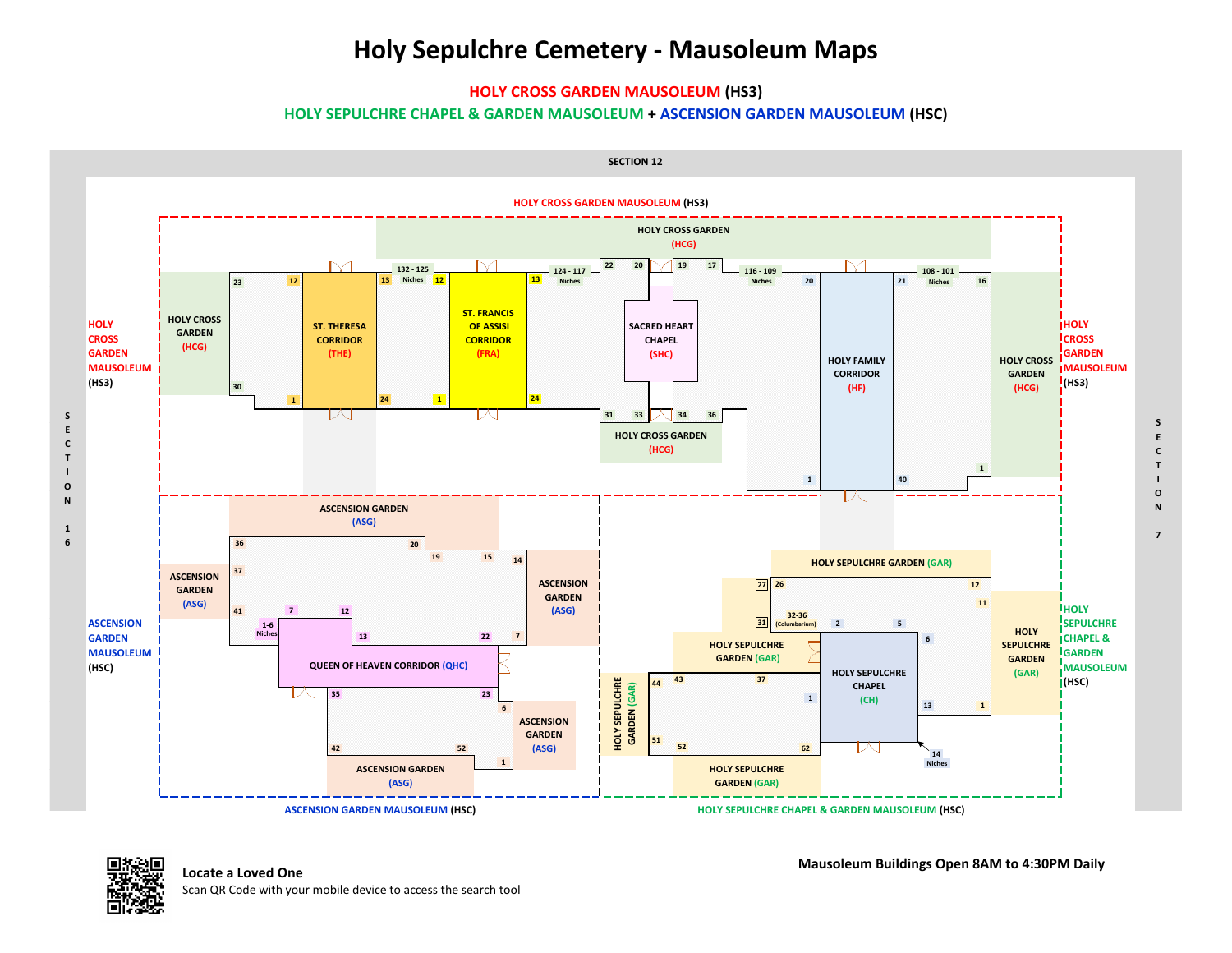## **Holy Sepulchre Cemetery - Mausoleum Maps**

**HOLY CROSS GARDEN MAUSOLEUM (HS3)**

**HOLY SEPULCHRE CHAPEL & GARDEN MAUSOLEUM + ASCENSION GARDEN MAUSOLEUM (HSC)**





**Mausoleum Buildings Open 8AM to 4:30PM Daily**